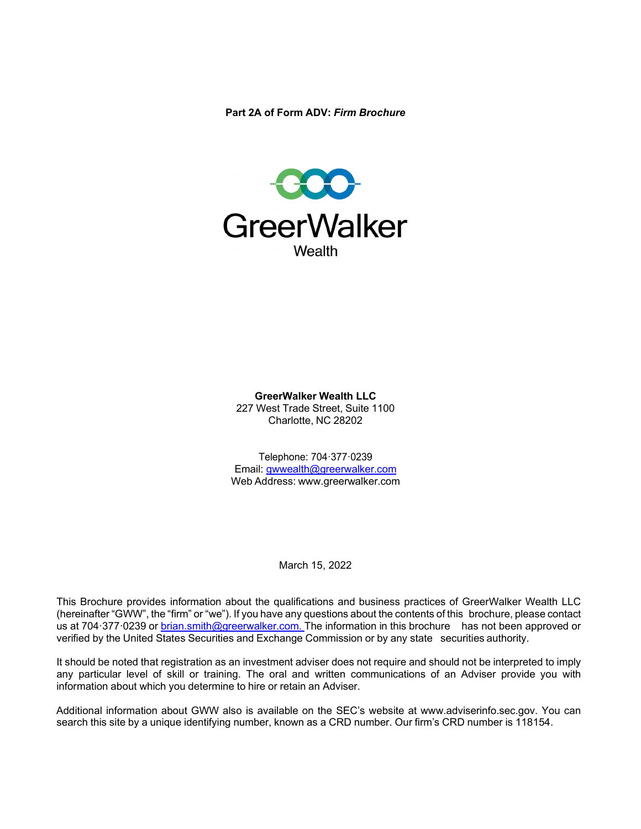

**GreerWalker Wealth LLC** 227 West Trade Street, Suite 1100 Charlotte, NC 28202

Telephone: 704·377·0239 Email: [gwwealth@greerwalker.com](mailto:gwwealth@greerwalker.com) Web Address: [www.greerwalker.com](http://www.greerwalker.com/)

March 15, 2022

This Brochure provides information about the qualifications and business practices of GreerWalker Wealth LLC (hereinafter "GWW", the "firm" or "we"). If you have any questions about the contents of this brochure, please contact us at 704·377·0239 or [brian.smith@greerwalker.com.](mailto:gwwealth@greerwalker.com.) The information in this brochure has not been approved or verified by the United States Securities and Exchange Commission or by any state securities authority.

It should be noted that registration as an investment adviser does not require and should not be interpreted to imply any particular level of skill or training. The oral and written communications of an Adviser provide you with information about which you determine to hire or retain an Adviser.

Additional information about GWW also is available on the SEC's website at [www.adviserinfo.sec.gov.](http://www.adviserinfo.sec.gov/) You can search this site by a unique identifying number, known as a CRD number. Our firm's CRD number is 118154.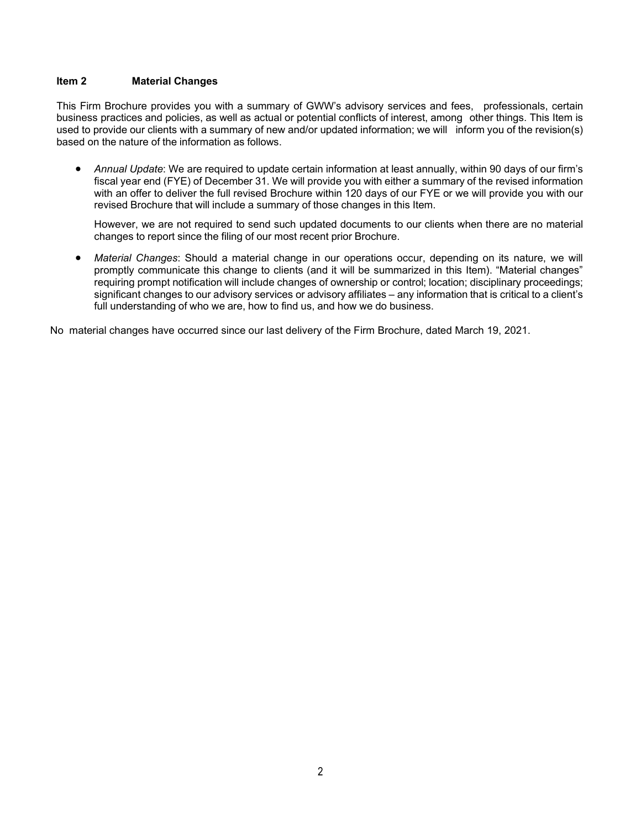## **Item 2 Material Changes**

This Firm Brochure provides you with a summary of GWW's advisory services and fees, professionals, certain business practices and policies, as well as actual or potential conflicts of interest, among other things. This Item is used to provide our clients with a summary of new and/or updated information; we will inform you of the revision(s) based on the nature of the information as follows.

• *Annual Update*: We are required to update certain information at least annually, within 90 days of our firm's fiscal year end (FYE) of December 31. We will provide you with either a summary of the revised information with an offer to deliver the full revised Brochure within 120 days of our FYE or we will provide you with our revised Brochure that will include a summary of those changes in this Item.

However, we are not required to send such updated documents to our clients when there are no material changes to report since the filing of our most recent prior Brochure.

• *Material Changes*: Should a material change in our operations occur, depending on its nature, we will promptly communicate this change to clients (and it will be summarized in this Item). "Material changes" requiring prompt notification will include changes of ownership or control; location; disciplinary proceedings; significant changes to our advisory services or advisory affiliates – any information that is critical to a client's full understanding of who we are, how to find us, and how we do business.

No material changes have occurred since our last delivery of the Firm Brochure, dated March 19, 2021.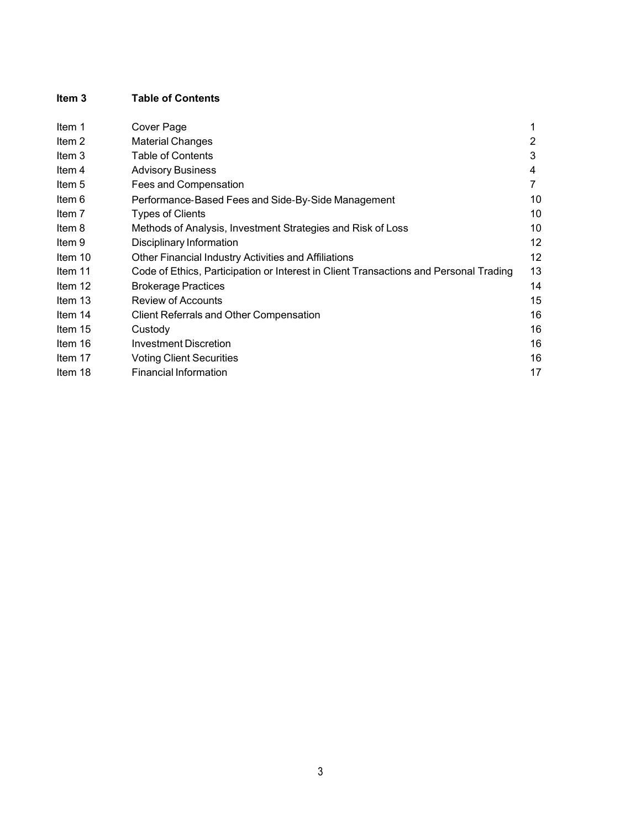# **Item 3 Table of Contents**

| Item 1  | Cover Page                                                                            | 1  |
|---------|---------------------------------------------------------------------------------------|----|
| Item 2  | <b>Material Changes</b>                                                               | 2  |
| Item 3  | <b>Table of Contents</b>                                                              | 3  |
| Item 4  | <b>Advisory Business</b>                                                              | 4  |
| Item 5  | Fees and Compensation                                                                 | 7  |
| Item 6  | Performance-Based Fees and Side-By-Side Management                                    | 10 |
| Item 7  | <b>Types of Clients</b>                                                               | 10 |
| Item 8  | Methods of Analysis, Investment Strategies and Risk of Loss                           | 10 |
| Item 9  | Disciplinary Information                                                              | 12 |
| Item 10 | Other Financial Industry Activities and Affiliations                                  | 12 |
| Item 11 | Code of Ethics, Participation or Interest in Client Transactions and Personal Trading | 13 |
| Item 12 | <b>Brokerage Practices</b>                                                            | 14 |
| Item 13 | <b>Review of Accounts</b>                                                             | 15 |
| Item 14 | <b>Client Referrals and Other Compensation</b>                                        | 16 |
| Item 15 | Custody                                                                               | 16 |
| Item 16 | Investment Discretion                                                                 | 16 |
| Item 17 | <b>Voting Client Securities</b>                                                       | 16 |
| Item 18 | <b>Financial Information</b>                                                          | 17 |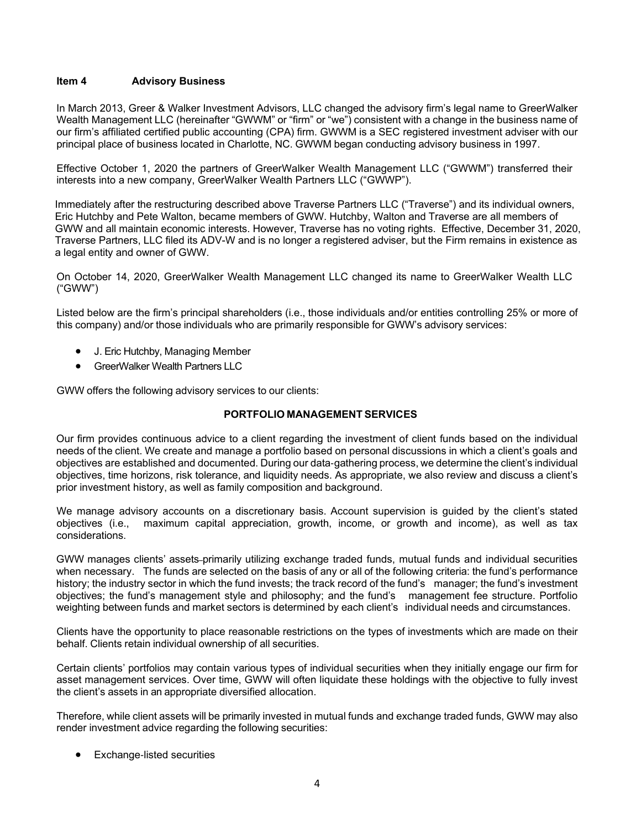## **Item 4 Advisory Business**

In March 2013, Greer & Walker Investment Advisors, LLC changed the advisory firm's legal name to GreerWalker Wealth Management LLC (hereinafter "GWWM" or "firm" or "we") consistent with a change in the business name of our firm's affiliated certified public accounting (CPA) firm. GWWM is a SEC registered investment adviser with our principal place of business located in Charlotte, NC. GWWM began conducting advisory business in 1997.

Effective October 1, 2020 the partners of GreerWalker Wealth Management LLC ("GWWM") transferred their interests into a new company, GreerWalker Wealth Partners LLC ("GWWP").

Immediately after the restructuring described above Traverse Partners LLC ("Traverse") and its individual owners, Eric Hutchby and Pete Walton, became members of GWW. Hutchby, Walton and Traverse are all members of GWW and all maintain economic interests. However, Traverse has no voting rights. Effective, December 31, 2020, Traverse Partners, LLC filed its ADV-W and is no longer a registered adviser, but the Firm remains in existence as a legal entity and owner of GWW.

On October 14, 2020, GreerWalker Wealth Management LLC changed its name to GreerWalker Wealth LLC ("GWW")

Listed below are the firm's principal shareholders (i.e., those individuals and/or entities controlling 25% or more of this company) and/or those individuals who are primarily responsible for GWW's advisory services:

- J. Eric Hutchby, Managing Member
- GreerWalker Wealth Partners LLC

GWW offers the following advisory services to our clients:

## **PORTFOLIO MANAGEMENT SERVICES**

Our firm provides continuous advice to a client regarding the investment of client funds based on the individual needs of the client. We create and manage a portfolio based on personal discussions in which a client's goals and objectives are established and documented. During our data‐gathering process, we determine the client's individual objectives, time horizons, risk tolerance, and liquidity needs. As appropriate, we also review and discuss a client's prior investment history, as well as family composition and background.

We manage advisory accounts on a discretionary basis. Account supervision is guided by the client's stated objectives (i.e., maximum capital appreciation, growth, income, or growth and income), as well as tax maximum capital appreciation, growth, income, or growth and income), as well as tax considerations.

GWW manages clients' assets primarily utilizing exchange traded funds, mutual funds and individual securities when necessary. The funds are selected on the basis of any or all of the following criteria: the fund's performance history; the industry sector in which the fund invests; the track record of the fund's manager; the fund's investment objectives; the fund's management style and philosophy; and the fund's management fee structure. Portfolio weighting between funds and market sectors is determined by each client's individual needs and circumstances.

Clients have the opportunity to place reasonable restrictions on the types of investments which are made on their behalf. Clients retain individual ownership of all securities.

Certain clients' portfolios may contain various types of individual securities when they initially engage our firm for asset management services. Over time, GWW will often liquidate these holdings with the objective to fully invest the client's assets in an appropriate diversified allocation.

Therefore, while client assets will be primarily invested in mutual funds and exchange traded funds, GWW may also render investment advice regarding the following securities:

• Exchange‐listed securities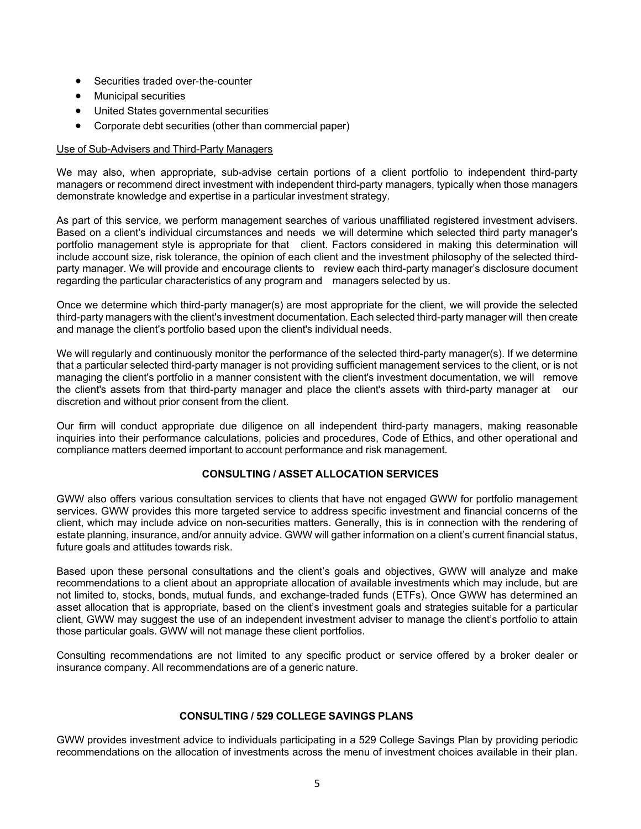- Securities traded over‐the‐counter
- Municipal securities
- United States governmental securities
- Corporate debt securities (other than commercial paper)

## Use of Sub-Advisers and Third-Party Managers

We may also, when appropriate, sub-advise certain portions of a client portfolio to independent third-party managers or recommend direct investment with independent third-party managers, typically when those managers demonstrate knowledge and expertise in a particular investment strategy.

As part of this service, we perform management searches of various unaffiliated registered investment advisers. Based on a client's individual circumstances and needs we will determine which selected third party manager's portfolio management style is appropriate for that client. Factors considered in making this determination will include account size, risk tolerance, the opinion of each client and the investment philosophy of the selected thirdparty manager. We will provide and encourage clients to review each third-party manager's disclosure document regarding the particular characteristics of any program and managers selected by us.

Once we determine which third-party manager(s) are most appropriate for the client, we will provide the selected third-party managers with the client's investment documentation. Each selected third-party manager will then create and manage the client's portfolio based upon the client's individual needs.

We will regularly and continuously monitor the performance of the selected third-party manager(s). If we determine that a particular selected third-party manager is not providing sufficient management services to the client, or is not managing the client's portfolio in a manner consistent with the client's investment documentation, we will remove the client's assets from that third-party manager and place the client's assets with third-party manager at our discretion and without prior consent from the client.

Our firm will conduct appropriate due diligence on all independent third-party managers, making reasonable inquiries into their performance calculations, policies and procedures, Code of Ethics, and other operational and compliance matters deemed important to account performance and risk management.

## **CONSULTING / ASSET ALLOCATION SERVICES**

GWW also offers various consultation services to clients that have not engaged GWW for portfolio management services. GWW provides this more targeted service to address specific investment and financial concerns of the client, which may include advice on non-securities matters. Generally, this is in connection with the rendering of estate planning, insurance, and/or annuity advice. GWW will gather information on a client's current financial status, future goals and attitudes towards risk.

Based upon these personal consultations and the client's goals and objectives, GWW will analyze and make recommendations to a client about an appropriate allocation of available investments which may include, but are not limited to, stocks, bonds, mutual funds, and exchange-traded funds (ETFs). Once GWW has determined an asset allocation that is appropriate, based on the client's investment goals and strategies suitable for a particular client, GWW may suggest the use of an independent investment adviser to manage the client's portfolio to attain those particular goals. GWW will not manage these client portfolios.

Consulting recommendations are not limited to any specific product or service offered by a broker dealer or insurance company. All recommendations are of a generic nature.

#### **CONSULTING / 529 COLLEGE SAVINGS PLANS**

GWW provides investment advice to individuals participating in a 529 College Savings Plan by providing periodic recommendations on the allocation of investments across the menu of investment choices available in their plan.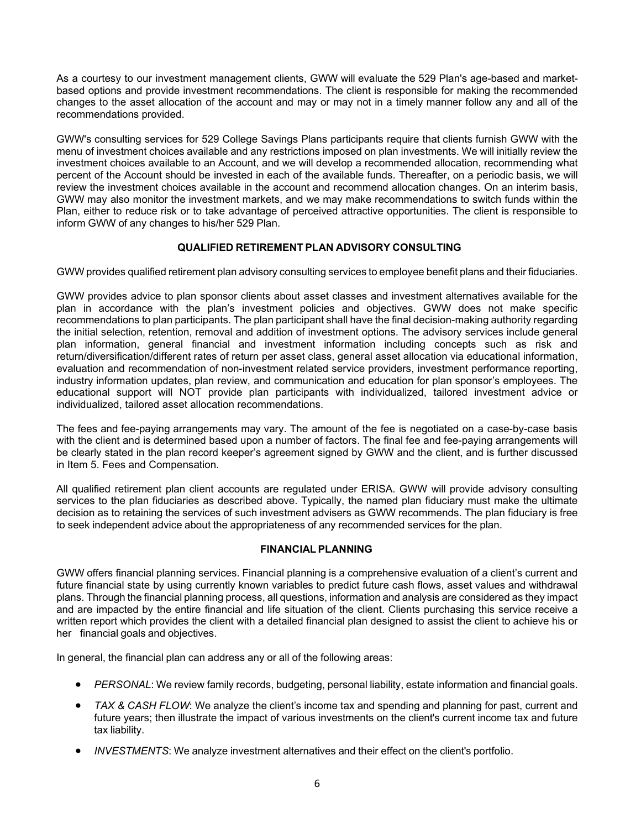As a courtesy to our investment management clients, GWW will evaluate the 529 Plan's age-based and marketbased options and provide investment recommendations. The client is responsible for making the recommended changes to the asset allocation of the account and may or may not in a timely manner follow any and all of the recommendations provided.

GWW's consulting services for 529 College Savings Plans participants require that clients furnish GWW with the menu of investment choices available and any restrictions imposed on plan investments. We will initially review the investment choices available to an Account, and we will develop a recommended allocation, recommending what percent of the Account should be invested in each of the available funds. Thereafter, on a periodic basis, we will review the investment choices available in the account and recommend allocation changes. On an interim basis, GWW may also monitor the investment markets, and we may make recommendations to switch funds within the Plan, either to reduce risk or to take advantage of perceived attractive opportunities. The client is responsible to inform GWW of any changes to his/her 529 Plan.

# **QUALIFIED RETIREMENT PLAN ADVISORY CONSULTING**

GWW provides qualified retirement plan advisory consulting services to employee benefit plans and their fiduciaries.

GWW provides advice to plan sponsor clients about asset classes and investment alternatives available for the plan in accordance with the plan's investment policies and objectives. GWW does not make specific recommendations to plan participants. The plan participant shall have the final decision-making authority regarding the initial selection, retention, removal and addition of investment options. The advisory services include general plan information, general financial and investment information including concepts such as risk and return/diversification/different rates of return per asset class, general asset allocation via educational information, evaluation and recommendation of non-investment related service providers, investment performance reporting, industry information updates, plan review, and communication and education for plan sponsor's employees. The educational support will NOT provide plan participants with individualized, tailored investment advice or individualized, tailored asset allocation recommendations.

The fees and fee-paying arrangements may vary. The amount of the fee is negotiated on a case-by-case basis with the client and is determined based upon a number of factors. The final fee and fee-paying arrangements will be clearly stated in the plan record keeper's agreement signed by GWW and the client, and is further discussed in Item 5. Fees and Compensation.

All qualified retirement plan client accounts are regulated under ERISA. GWW will provide advisory consulting services to the plan fiduciaries as described above. Typically, the named plan fiduciary must make the ultimate decision as to retaining the services of such investment advisers as GWW recommends. The plan fiduciary is free to seek independent advice about the appropriateness of any recommended services for the plan.

#### **FINANCIAL PLANNING**

GWW offers financial planning services. Financial planning is a comprehensive evaluation of a client's current and future financial state by using currently known variables to predict future cash flows, asset values and withdrawal plans. Through the financial planning process, all questions, information and analysis are considered as they impact and are impacted by the entire financial and life situation of the client. Clients purchasing this service receive a written report which provides the client with a detailed financial plan designed to assist the client to achieve his or her financial goals and objectives.

In general, the financial plan can address any or all of the following areas:

- *PERSONAL*: We review family records, budgeting, personal liability, estate information and financial goals.
- *TAX & CASH FLOW*: We analyze the client's income tax and spending and planning for past, current and future years; then illustrate the impact of various investments on the client's current income tax and future tax liability.
- *INVESTMENTS*: We analyze investment alternatives and their effect on the client's portfolio.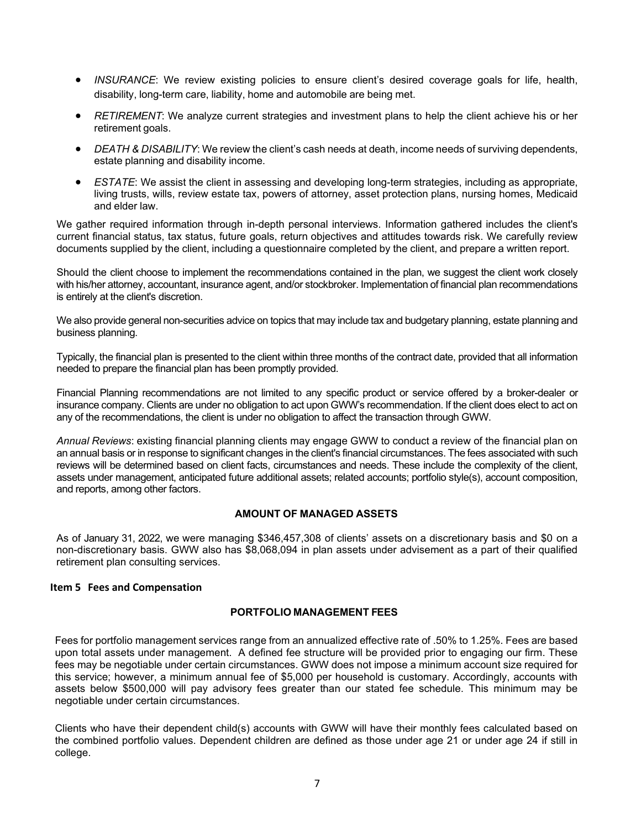- *INSURANCE*: We review existing policies to ensure client's desired coverage goals for life, health, disability, long-term care, liability, home and automobile are being met.
- *RETIREMENT*: We analyze current strategies and investment plans to help the client achieve his or her retirement goals.
- *DEATH & DISABILITY*: We review the client's cash needs at death, income needs of surviving dependents, estate planning and disability income.
- *ESTATE*: We assist the client in assessing and developing long-term strategies, including as appropriate, living trusts, wills, review estate tax, powers of attorney, asset protection plans, nursing homes, Medicaid and elder law.

We gather required information through in-depth personal interviews. Information gathered includes the client's current financial status, tax status, future goals, return objectives and attitudes towards risk. We carefully review documents supplied by the client, including a questionnaire completed by the client, and prepare a written report.

Should the client choose to implement the recommendations contained in the plan, we suggest the client work closely with his/her attorney, accountant, insurance agent, and/or stockbroker. Implementation of financial plan recommendations is entirely at the client's discretion.

We also provide general non-securities advice on topics that may include tax and budgetary planning, estate planning and business planning.

Typically, the financial plan is presented to the client within three months of the contract date, provided that all information needed to prepare the financial plan has been promptly provided.

Financial Planning recommendations are not limited to any specific product or service offered by a broker-dealer or insurance company. Clients are under no obligation to act upon GWW's recommendation. If the client does elect to act on any of the recommendations, the client is under no obligation to affect the transaction through GWW.

*Annual Reviews*: existing financial planning clients may engage GWW to conduct a review of the financial plan on an annual basis or in response to significant changes in the client's financial circumstances. The fees associated with such reviews will be determined based on client facts, circumstances and needs. These include the complexity of the client, assets under management, anticipated future additional assets; related accounts; portfolio style(s), account composition, and reports, among other factors.

## **AMOUNT OF MANAGED ASSETS**

As of January 31, 2022, we were managing \$346,457,308 of clients' assets on a discretionary basis and \$0 on a non-discretionary basis. GWW also has \$8,068,094 in plan assets under advisement as a part of their qualified retirement plan consulting services.

#### **Item 5 Fees and Compensation**

# **PORTFOLIO MANAGEMENT FEES**

Fees for portfolio management services range from an annualized effective rate of .50% to 1.25%. Fees are based upon total assets under management. A defined fee structure will be provided prior to engaging our firm. These fees may be negotiable under certain circumstances. GWW does not impose a minimum account size required for this service; however, a minimum annual fee of \$5,000 per household is customary. Accordingly, accounts with assets below \$500,000 will pay advisory fees greater than our stated fee schedule. This minimum may be negotiable under certain circumstances.

Clients who have their dependent child(s) accounts with GWW will have their monthly fees calculated based on the combined portfolio values. Dependent children are defined as those under age 21 or under age 24 if still in college.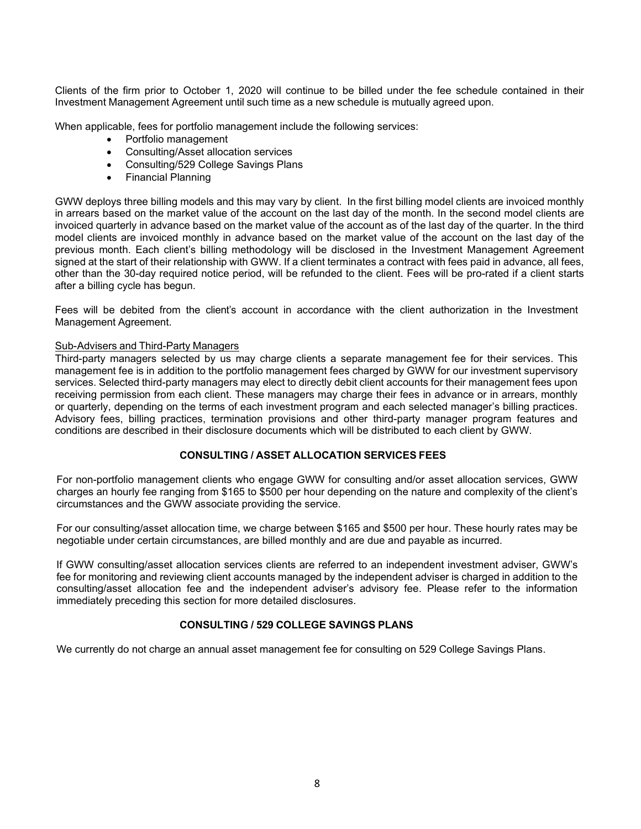Clients of the firm prior to October 1, 2020 will continue to be billed under the fee schedule contained in their Investment Management Agreement until such time as a new schedule is mutually agreed upon.

When applicable, fees for portfolio management include the following services:

- Portfolio management
- Consulting/Asset allocation services
- Consulting/529 College Savings Plans
- Financial Planning

GWW deploys three billing models and this may vary by client. In the first billing model clients are invoiced monthly in arrears based on the market value of the account on the last day of the month. In the second model clients are invoiced quarterly in advance based on the market value of the account as of the last day of the quarter. In the third model clients are invoiced monthly in advance based on the market value of the account on the last day of the previous month. Each client's billing methodology will be disclosed in the Investment Management Agreement signed at the start of their relationship with GWW. If a client terminates a contract with fees paid in advance, all fees, other than the 30-day required notice period, will be refunded to the client. Fees will be pro-rated if a client starts after a billing cycle has begun.

Fees will be debited from the client's account in accordance with the client authorization in the Investment Management Agreement.

#### Sub-Advisers and Third-Party Managers

Third-party managers selected by us may charge clients a separate management fee for their services. This management fee is in addition to the portfolio management fees charged by GWW for our investment supervisory services. Selected third-party managers may elect to directly debit client accounts for their management fees upon receiving permission from each client. These managers may charge their fees in advance or in arrears, monthly or quarterly, depending on the terms of each investment program and each selected manager's billing practices. Advisory fees, billing practices, termination provisions and other third-party manager program features and conditions are described in their disclosure documents which will be distributed to each client by GWW.

# **CONSULTING / ASSET ALLOCATION SERVICES FEES**

For non-portfolio management clients who engage GWW for consulting and/or asset allocation services, GWW charges an hourly fee ranging from \$165 to \$500 per hour depending on the nature and complexity of the client's circumstances and the GWW associate providing the service.

For our consulting/asset allocation time, we charge between \$165 and \$500 per hour. These hourly rates may be negotiable under certain circumstances, are billed monthly and are due and payable as incurred.

If GWW consulting/asset allocation services clients are referred to an independent investment adviser, GWW's fee for monitoring and reviewing client accounts managed by the independent adviser is charged in addition to the consulting/asset allocation fee and the independent adviser's advisory fee. Please refer to the information immediately preceding this section for more detailed disclosures.

#### **CONSULTING / 529 COLLEGE SAVINGS PLANS**

We currently do not charge an annual asset management fee for consulting on 529 College Savings Plans.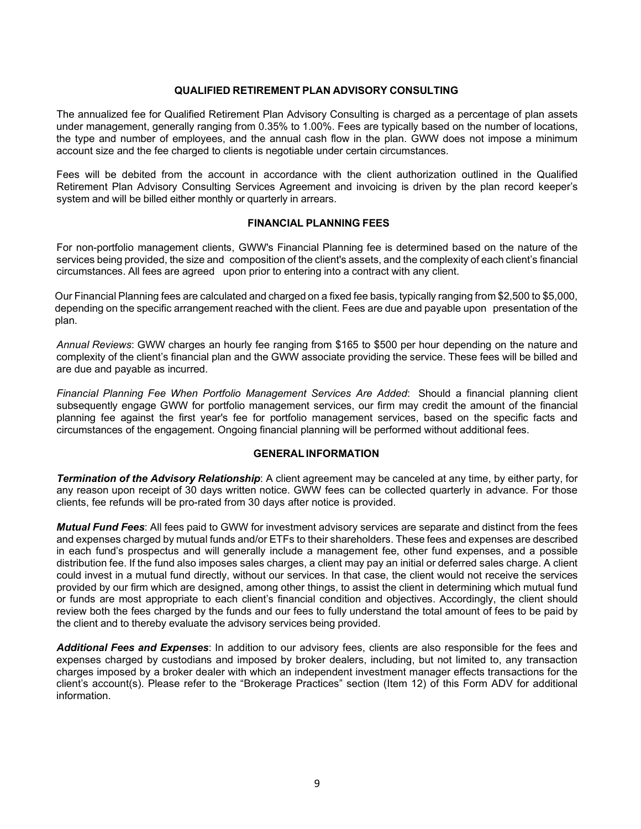#### **QUALIFIED RETIREMENT PLAN ADVISORY CONSULTING**

The annualized fee for Qualified Retirement Plan Advisory Consulting is charged as a percentage of plan assets under management, generally ranging from 0.35% to 1.00%. Fees are typically based on the number of locations, the type and number of employees, and the annual cash flow in the plan. GWW does not impose a minimum account size and the fee charged to clients is negotiable under certain circumstances.

Fees will be debited from the account in accordance with the client authorization outlined in the Qualified Retirement Plan Advisory Consulting Services Agreement and invoicing is driven by the plan record keeper's system and will be billed either monthly or quarterly in arrears.

#### **FINANCIAL PLANNING FEES**

For non-portfolio management clients, GWW's Financial Planning fee is determined based on the nature of the services being provided, the size and composition of the client's assets, and the complexity of each client's financial circumstances. All fees are agreed upon prior to entering into a contract with any client.

Our Financial Planning fees are calculated and charged on a fixed fee basis, typically ranging from \$2,500 to \$5,000, depending on the specific arrangement reached with the client. Fees are due and payable upon presentation of the plan.

*Annual Reviews*: GWW charges an hourly fee ranging from \$165 to \$500 per hour depending on the nature and complexity of the client's financial plan and the GWW associate providing the service. These fees will be billed and are due and payable as incurred.

*Financial Planning Fee When Portfolio Management Services Are Added*: Should a financial planning client subsequently engage GWW for portfolio management services, our firm may credit the amount of the financial planning fee against the first year's fee for portfolio management services, based on the specific facts and circumstances of the engagement. Ongoing financial planning will be performed without additional fees.

#### **GENERALINFORMATION**

*Termination of the Advisory Relationship*: A client agreement may be canceled at any time, by either party, for any reason upon receipt of 30 days written notice. GWW fees can be collected quarterly in advance. For those clients, fee refunds will be pro-rated from 30 days after notice is provided.

*Mutual Fund Fees*: All fees paid to GWW for investment advisory services are separate and distinct from the fees and expenses charged by mutual funds and/or ETFs to their shareholders. These fees and expenses are described in each fund's prospectus and will generally include a management fee, other fund expenses, and a possible distribution fee. If the fund also imposes sales charges, a client may pay an initial or deferred sales charge. A client could invest in a mutual fund directly, without our services. In that case, the client would not receive the services provided by our firm which are designed, among other things, to assist the client in determining which mutual fund or funds are most appropriate to each client's financial condition and objectives. Accordingly, the client should review both the fees charged by the funds and our fees to fully understand the total amount of fees to be paid by the client and to thereby evaluate the advisory services being provided.

*Additional Fees and Expenses*: In addition to our advisory fees, clients are also responsible for the fees and expenses charged by custodians and imposed by broker dealers, including, but not limited to, any transaction charges imposed by a broker dealer with which an independent investment manager effects transactions for the client's account(s). Please refer to the "Brokerage Practices" section (Item 12) of this Form ADV for additional information.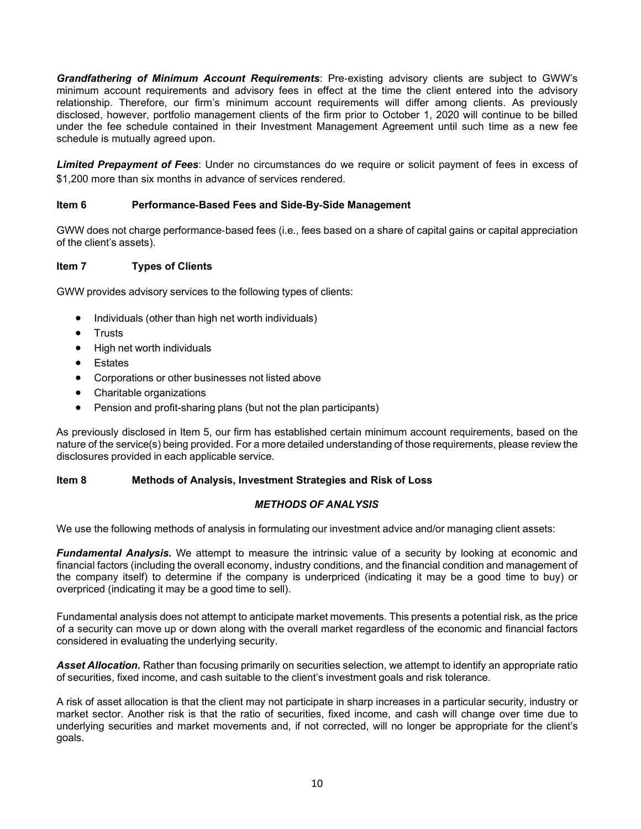*Grandfathering of Minimum Account Requirements*: Pre‐existing advisory clients are subject to GWW's minimum account requirements and advisory fees in effect at the time the client entered into the advisory relationship. Therefore, our firm's minimum account requirements will differ among clients. As previously disclosed, however, portfolio management clients of the firm prior to October 1, 2020 will continue to be billed under the fee schedule contained in their Investment Management Agreement until such time as a new fee schedule is mutually agreed upon.

*Limited Prepayment of Fees*: Under no circumstances do we require or solicit payment of fees in excess of \$1,200 more than six months in advance of services rendered.

# **Item 6 Performance**‐**Based Fees and Side**‐**By**‐**Side Management**

GWW does not charge performance‐based fees (i.e., fees based on a share of capital gains or capital appreciation of the client's assets).

#### **Item 7 Types of Clients**

GWW provides advisory services to the following types of clients:

- Individuals (other than high net worth individuals)
- Trusts
- High net worth individuals
- Estates
- Corporations or other businesses not listed above
- Charitable organizations
- Pension and profit-sharing plans (but not the plan participants)

As previously disclosed in Item 5, our firm has established certain minimum account requirements, based on the nature of the service(s) being provided. For a more detailed understanding of those requirements, please review the disclosures provided in each applicable service.

#### **Item 8 Methods of Analysis, Investment Strategies and Risk of Loss**

#### *METHODS OF ANALYSIS*

We use the following methods of analysis in formulating our investment advice and/or managing client assets:

*Fundamental Analysis.* We attempt to measure the intrinsic value of a security by looking at economic and financial factors (including the overall economy, industry conditions, and the financial condition and management of the company itself) to determine if the company is underpriced (indicating it may be a good time to buy) or overpriced (indicating it may be a good time to sell).

Fundamental analysis does not attempt to anticipate market movements. This presents a potential risk, as the price of a security can move up or down along with the overall market regardless of the economic and financial factors considered in evaluating the underlying security.

*Asset Allocation.* Rather than focusing primarily on securities selection, we attempt to identify an appropriate ratio of securities, fixed income, and cash suitable to the client's investment goals and risk tolerance.

A risk of asset allocation is that the client may not participate in sharp increases in a particular security, industry or market sector. Another risk is that the ratio of securities, fixed income, and cash will change over time due to underlying securities and market movements and, if not corrected, will no longer be appropriate for the client's goals.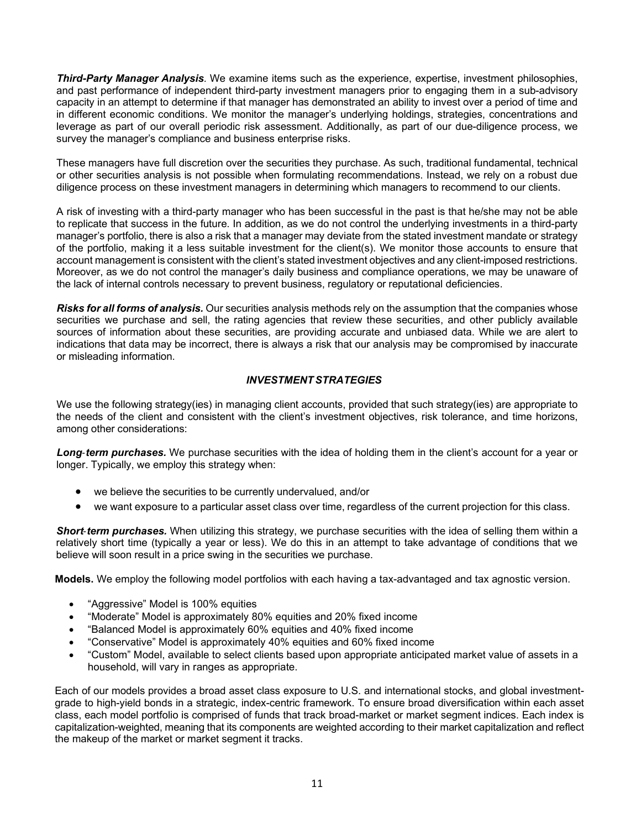*Third-Party Manager Analysis.* We examine items such as the experience, expertise, investment philosophies, and past performance of independent third-party investment managers prior to engaging them in a sub-advisory capacity in an attempt to determine if that manager has demonstrated an ability to invest over a period of time and in different economic conditions. We monitor the manager's underlying holdings, strategies, concentrations and leverage as part of our overall periodic risk assessment. Additionally, as part of our due-diligence process, we survey the manager's compliance and business enterprise risks.

These managers have full discretion over the securities they purchase. As such, traditional fundamental, technical or other securities analysis is not possible when formulating recommendations. Instead, we rely on a robust due diligence process on these investment managers in determining which managers to recommend to our clients.

A risk of investing with a third-party manager who has been successful in the past is that he/she may not be able to replicate that success in the future. In addition, as we do not control the underlying investments in a third-party manager's portfolio, there is also a risk that a manager may deviate from the stated investment mandate or strategy of the portfolio, making it a less suitable investment for the client(s). We monitor those accounts to ensure that account management is consistent with the client's stated investment objectives and any client-imposed restrictions. Moreover, as we do not control the manager's daily business and compliance operations, we may be unaware of the lack of internal controls necessary to prevent business, regulatory or reputational deficiencies.

*Risks for all forms of analysis.* Our securities analysis methods rely on the assumption that the companies whose securities we purchase and sell, the rating agencies that review these securities, and other publicly available sources of information about these securities, are providing accurate and unbiased data. While we are alert to indications that data may be incorrect, there is always a risk that our analysis may be compromised by inaccurate or misleading information.

# *INVESTMENTSTRATEGIES*

We use the following strategy(ies) in managing client accounts, provided that such strategy(ies) are appropriate to the needs of the client and consistent with the client's investment objectives, risk tolerance, and time horizons, among other considerations:

*Long*‐*term purchases.* We purchase securities with the idea of holding them in the client's account for a year or longer. Typically, we employ this strategy when:

- we believe the securities to be currently undervalued, and/or
- we want exposure to a particular asset class over time, regardless of the current projection for this class.

*Short-term purchases.* When utilizing this strategy, we purchase securities with the idea of selling them within a relatively short time (typically a year or less). We do this in an attempt to take advantage of conditions that we believe will soon result in a price swing in the securities we purchase.

**Models.** We employ the following model portfolios with each having a tax-advantaged and tax agnostic version.

- "Aggressive" Model is 100% equities
- "Moderate" Model is approximately 80% equities and 20% fixed income
- "Balanced Model is approximately 60% equities and 40% fixed income
- "Conservative" Model is approximately 40% equities and 60% fixed income
- "Custom" Model, available to select clients based upon appropriate anticipated market value of assets in a household, will vary in ranges as appropriate.

Each of our models provides a broad asset class exposure to U.S. and international stocks, and global investmentgrade to high-yield bonds in a strategic, index-centric framework. To ensure broad diversification within each asset class, each model portfolio is comprised of funds that track broad-market or market segment indices. Each index is capitalization-weighted, meaning that its components are weighted according to their market capitalization and reflect the makeup of the market or market segment it tracks.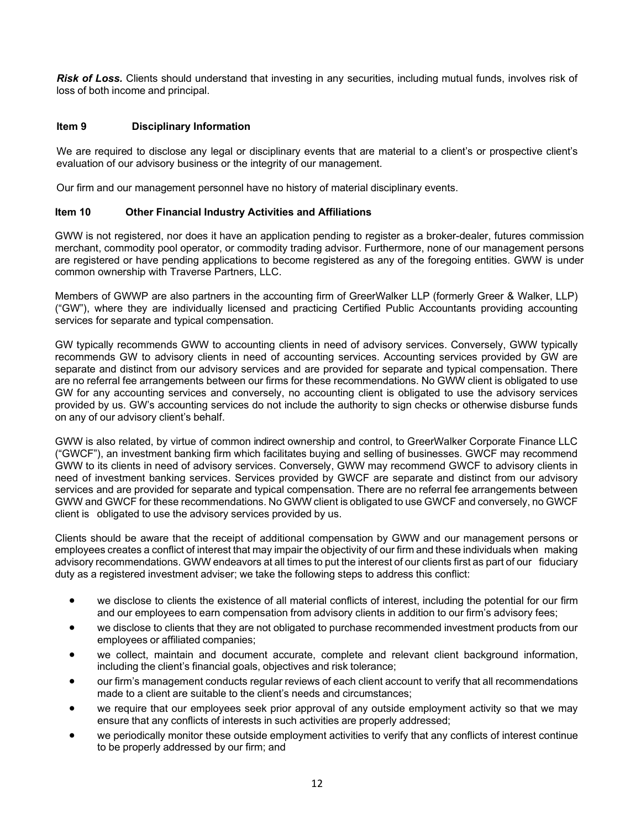*Risk of Loss.* Clients should understand that investing in any securities, including mutual funds, involves risk of loss of both income and principal.

# **Item 9 Disciplinary Information**

We are required to disclose any legal or disciplinary events that are material to a client's or prospective client's evaluation of our advisory business or the integrity of our management.

Our firm and our management personnel have no history of material disciplinary events.

## **Item 10 Other Financial Industry Activities and Affiliations**

GWW is not registered, nor does it have an application pending to register as a broker-dealer, futures commission merchant, commodity pool operator, or commodity trading advisor. Furthermore, none of our management persons are registered or have pending applications to become registered as any of the foregoing entities. GWW is under common ownership with Traverse Partners, LLC.

Members of GWWP are also partners in the accounting firm of GreerWalker LLP (formerly Greer & Walker, LLP) ("GW"), where they are individually licensed and practicing Certified Public Accountants providing accounting services for separate and typical compensation.

GW typically recommends GWW to accounting clients in need of advisory services. Conversely, GWW typically recommends GW to advisory clients in need of accounting services. Accounting services provided by GW are separate and distinct from our advisory services and are provided for separate and typical compensation. There are no referral fee arrangements between our firms for these recommendations. No GWW client is obligated to use GW for any accounting services and conversely, no accounting client is obligated to use the advisory services provided by us. GW's accounting services do not include the authority to sign checks or otherwise disburse funds on any of our advisory client's behalf.

GWW is also related, by virtue of common indirect ownership and control, to GreerWalker Corporate Finance LLC ("GWCF"), an investment banking firm which facilitates buying and selling of businesses. GWCF may recommend GWW to its clients in need of advisory services. Conversely, GWW may recommend GWCF to advisory clients in need of investment banking services. Services provided by GWCF are separate and distinct from our advisory services and are provided for separate and typical compensation. There are no referral fee arrangements between GWW and GWCF for these recommendations. No GWW client is obligated to use GWCF and conversely, no GWCF client is obligated to use the advisory services provided by us.

Clients should be aware that the receipt of additional compensation by GWW and our management persons or employees creates a conflict of interest that may impair the objectivity of our firm and these individuals when making advisory recommendations. GWW endeavors at all times to put the interest of our clients first as part of our fiduciary duty as a registered investment adviser; we take the following steps to address this conflict:

- we disclose to clients the existence of all material conflicts of interest, including the potential for our firm and our employees to earn compensation from advisory clients in addition to our firm's advisory fees;
- we disclose to clients that they are not obligated to purchase recommended investment products from our employees or affiliated companies;
- we collect, maintain and document accurate, complete and relevant client background information, including the client's financial goals, objectives and risk tolerance;
- our firm's management conducts regular reviews of each client account to verify that all recommendations made to a client are suitable to the client's needs and circumstances;
- we require that our employees seek prior approval of any outside employment activity so that we may ensure that any conflicts of interests in such activities are properly addressed;
- we periodically monitor these outside employment activities to verify that any conflicts of interest continue to be properly addressed by our firm; and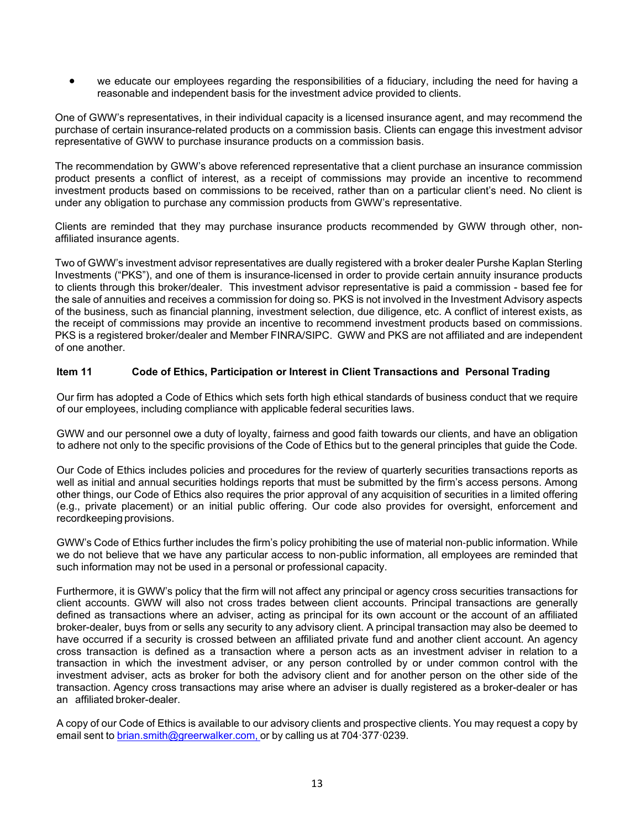• we educate our employees regarding the responsibilities of a fiduciary, including the need for having a reasonable and independent basis for the investment advice provided to clients.

One of GWW's representatives, in their individual capacity is a licensed insurance agent, and may recommend the purchase of certain insurance-related products on a commission basis. Clients can engage this investment advisor representative of GWW to purchase insurance products on a commission basis.

The recommendation by GWW's above referenced representative that a client purchase an insurance commission product presents a conflict of interest, as a receipt of commissions may provide an incentive to recommend investment products based on commissions to be received, rather than on a particular client's need. No client is under any obligation to purchase any commission products from GWW's representative.

Clients are reminded that they may purchase insurance products recommended by GWW through other, nonaffiliated insurance agents.

Two of GWW's investment advisor representatives are dually registered with a broker dealer Purshe Kaplan Sterling Investments ("PKS"), and one of them is insurance-licensed in order to provide certain annuity insurance products to clients through this broker/dealer. This investment advisor representative is paid a commission - based fee for the sale of annuities and receives a commission for doing so. PKS is not involved in the Investment Advisory aspects of the business, such as financial planning, investment selection, due diligence, etc. A conflict of interest exists, as the receipt of commissions may provide an incentive to recommend investment products based on commissions. PKS is a registered broker/dealer and Member FINRA/SIPC. GWW and PKS are not affiliated and are independent of one another.

# **Item 11 Code of Ethics, Participation or Interest in Client Transactions and Personal Trading**

Our firm has adopted a Code of Ethics which sets forth high ethical standards of business conduct that we require of our employees, including compliance with applicable federal securities laws.

GWW and our personnel owe a duty of loyalty, fairness and good faith towards our clients, and have an obligation to adhere not only to the specific provisions of the Code of Ethics but to the general principles that guide the Code.

Our Code of Ethics includes policies and procedures for the review of quarterly securities transactions reports as well as initial and annual securities holdings reports that must be submitted by the firm's access persons. Among other things, our Code of Ethics also requires the prior approval of any acquisition of securities in a limited offering (e.g., private placement) or an initial public offering. Our code also provides for oversight, enforcement and recordkeeping provisions.

GWW's Code of Ethics further includes the firm's policy prohibiting the use of material non‐public information. While we do not believe that we have any particular access to non-public information, all employees are reminded that such information may not be used in a personal or professional capacity.

Furthermore, it is GWW's policy that the firm will not affect any principal or agency cross securities transactions for client accounts. GWW will also not cross trades between client accounts. Principal transactions are generally defined as transactions where an adviser, acting as principal for its own account or the account of an affiliated broker-dealer, buys from or sells any security to any advisory client. A principal transaction may also be deemed to have occurred if a security is crossed between an affiliated private fund and another client account. An agency cross transaction is defined as a transaction where a person acts as an investment adviser in relation to a transaction in which the investment adviser, or any person controlled by or under common control with the investment adviser, acts as broker for both the advisory client and for another person on the other side of the transaction. Agency cross transactions may arise where an adviser is dually registered as a broker-dealer or has an affiliated broker-dealer.

A copy of our Code of Ethics is available to our advisory clients and prospective clients. You may request a copy by email sent to [brian.smith@greerwalker.com,](mailto:gwwealth@greerwalker.com,) or by calling us at 704.377.0239.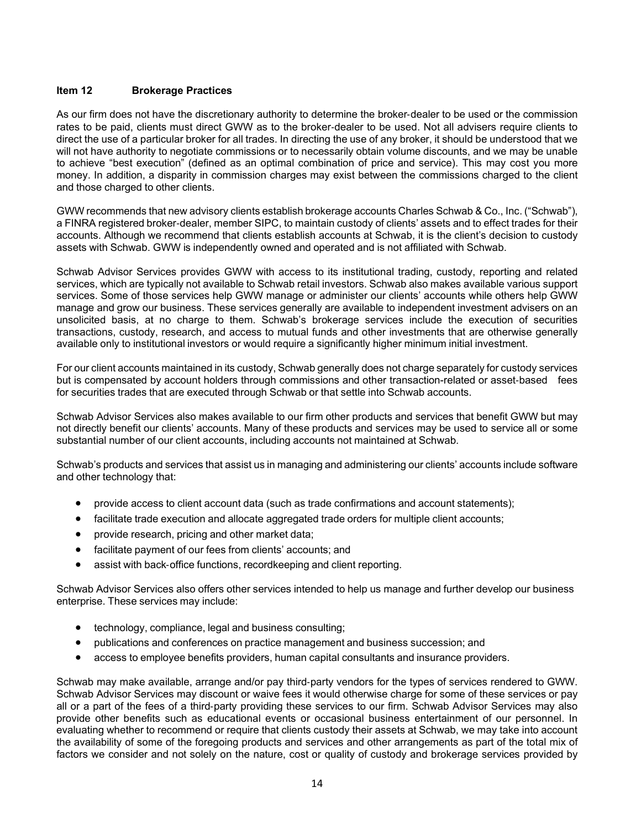## **Item 12 Brokerage Practices**

As our firm does not have the discretionary authority to determine the broker‐dealer to be used or the commission rates to be paid, clients must direct GWW as to the broker‐dealer to be used. Not all advisers require clients to direct the use of a particular broker for all trades. In directing the use of any broker, it should be understood that we will not have authority to negotiate commissions or to necessarily obtain volume discounts, and we may be unable to achieve "best execution" (defined as an optimal combination of price and service). This may cost you more money. In addition, a disparity in commission charges may exist between the commissions charged to the client and those charged to other clients.

GWW recommends that new advisory clients establish brokerage accounts Charles Schwab & Co., Inc. ("Schwab"), a FINRA registered broker‐dealer, member SIPC, to maintain custody of clients' assets and to effect trades for their accounts. Although we recommend that clients establish accounts at Schwab, it is the client's decision to custody assets with Schwab. GWW is independently owned and operated and is not affiliated with Schwab.

Schwab Advisor Services provides GWW with access to its institutional trading, custody, reporting and related services, which are typically not available to Schwab retail investors. Schwab also makes available various support services. Some of those services help GWW manage or administer our clients' accounts while others help GWW manage and grow our business. These services generally are available to independent investment advisers on an unsolicited basis, at no charge to them. Schwab's brokerage services include the execution of securities transactions, custody, research, and access to mutual funds and other investments that are otherwise generally available only to institutional investors or would require a significantly higher minimum initial investment.

For our client accounts maintained in its custody, Schwab generally does not charge separately for custody services but is compensated by account holders through commissions and other transaction-related or asset-based fees for securities trades that are executed through Schwab or that settle into Schwab accounts.

Schwab Advisor Services also makes available to our firm other products and services that benefit GWW but may not directly benefit our clients' accounts. Many of these products and services may be used to service all or some substantial number of our client accounts, including accounts not maintained at Schwab.

Schwab's products and services that assist us in managing and administering our clients' accounts include software and other technology that:

- provide access to client account data (such as trade confirmations and account statements);
- facilitate trade execution and allocate aggregated trade orders for multiple client accounts;
- provide research, pricing and other market data;
- facilitate payment of our fees from clients' accounts; and
- assist with back-office functions, recordkeeping and client reporting.

Schwab Advisor Services also offers other services intended to help us manage and further develop our business enterprise. These services may include:

- technology, compliance, legal and business consulting;
- publications and conferences on practice management and business succession; and
- access to employee benefits providers, human capital consultants and insurance providers.

Schwab may make available, arrange and/or pay third-party vendors for the types of services rendered to GWW. Schwab Advisor Services may discount or waive fees it would otherwise charge for some of these services or pay all or a part of the fees of a third‐party providing these services to our firm. Schwab Advisor Services may also provide other benefits such as educational events or occasional business entertainment of our personnel. In evaluating whether to recommend or require that clients custody their assets at Schwab, we may take into account the availability of some of the foregoing products and services and other arrangements as part of the total mix of factors we consider and not solely on the nature, cost or quality of custody and brokerage services provided by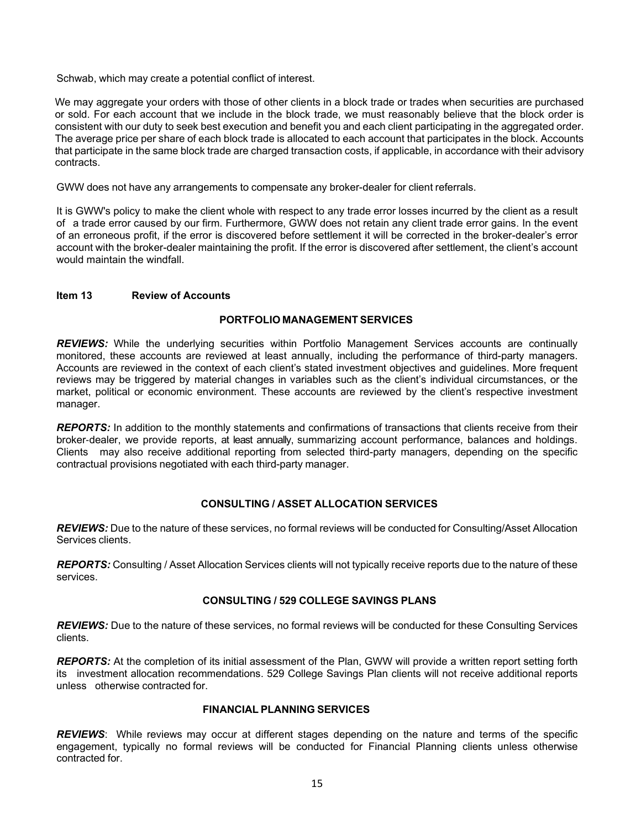Schwab, which may create a potential conflict of interest.

We may aggregate your orders with those of other clients in a block trade or trades when securities are purchased or sold. For each account that we include in the block trade, we must reasonably believe that the block order is consistent with our duty to seek best execution and benefit you and each client participating in the aggregated order. The average price per share of each block trade is allocated to each account that participates in the block. Accounts that participate in the same block trade are charged transaction costs, if applicable, in accordance with their advisory contracts.

GWW does not have any arrangements to compensate any broker-dealer for client referrals.

It is GWW's policy to make the client whole with respect to any trade error losses incurred by the client as a result of a trade error caused by our firm. Furthermore, GWW does not retain any client trade error gains. In the event of an erroneous profit, if the error is discovered before settlement it will be corrected in the broker-dealer's error account with the broker-dealer maintaining the profit. If the error is discovered after settlement, the client's account would maintain the windfall.

## **Item 13 Review of Accounts**

## **PORTFOLIO MANAGEMENT SERVICES**

*REVIEWS:* While the underlying securities within Portfolio Management Services accounts are continually monitored, these accounts are reviewed at least annually, including the performance of third-party managers. Accounts are reviewed in the context of each client's stated investment objectives and guidelines. More frequent reviews may be triggered by material changes in variables such as the client's individual circumstances, or the market, political or economic environment. These accounts are reviewed by the client's respective investment manager.

*REPORTS:* In addition to the monthly statements and confirmations of transactions that clients receive from their broker‐dealer, we provide reports, at least annually, summarizing account performance, balances and holdings. Clients may also receive additional reporting from selected third-party managers, depending on the specific contractual provisions negotiated with each third-party manager.

# **CONSULTING / ASSET ALLOCATION SERVICES**

*REVIEWS:* Due to the nature of these services, no formal reviews will be conducted for Consulting/Asset Allocation Services clients.

*REPORTS:* Consulting / Asset Allocation Services clients will not typically receive reports due to the nature of these services.

# **CONSULTING / 529 COLLEGE SAVINGS PLANS**

*REVIEWS:* Due to the nature of these services, no formal reviews will be conducted for these Consulting Services clients.

*REPORTS:* At the completion of its initial assessment of the Plan, GWW will provide a written report setting forth its investment allocation recommendations. 529 College Savings Plan clients will not receive additional reports unless otherwise contracted for.

## **FINANCIAL PLANNING SERVICES**

*REVIEWS*: While reviews may occur at different stages depending on the nature and terms of the specific engagement, typically no formal reviews will be conducted for Financial Planning clients unless otherwise contracted for.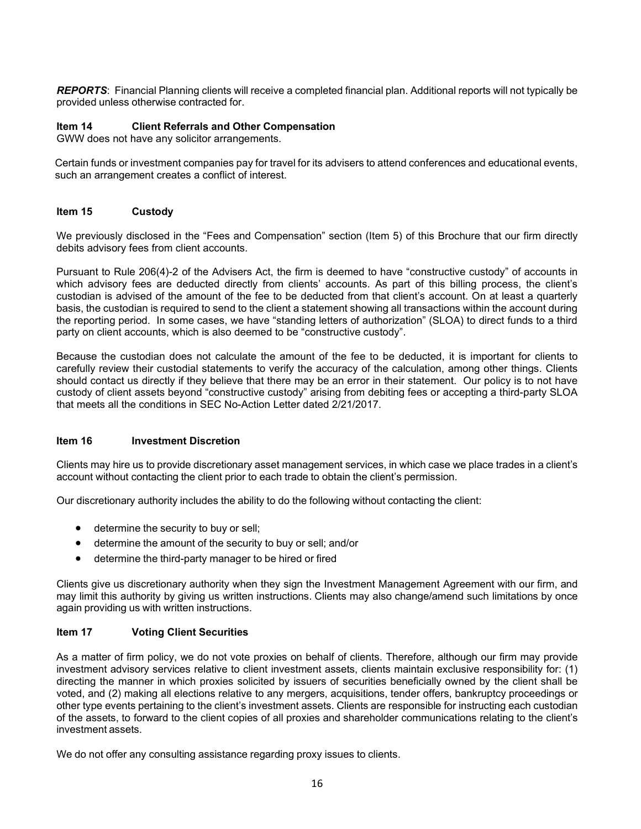*REPORTS*: Financial Planning clients will receive a completed financial plan. Additional reports will not typically be provided unless otherwise contracted for.

## **Item 14 Client Referrals and Other Compensation**

GWW does not have any solicitor arrangements.

Certain funds or investment companies pay for travel for its advisers to attend conferences and educational events, such an arrangement creates a conflict of interest.

## **Item 15 Custody**

We previously disclosed in the "Fees and Compensation" section (Item 5) of this Brochure that our firm directly debits advisory fees from client accounts.

Pursuant to Rule 206(4)-2 of the Advisers Act, the firm is deemed to have "constructive custody" of accounts in which advisory fees are deducted directly from clients' accounts. As part of this billing process, the client's custodian is advised of the amount of the fee to be deducted from that client's account. On at least a quarterly basis, the custodian is required to send to the client a statement showing all transactions within the account during the reporting period. In some cases, we have "standing letters of authorization" (SLOA) to direct funds to a third party on client accounts, which is also deemed to be "constructive custody".

Because the custodian does not calculate the amount of the fee to be deducted, it is important for clients to carefully review their custodial statements to verify the accuracy of the calculation, among other things. Clients should contact us directly if they believe that there may be an error in their statement. Our policy is to not have custody of client assets beyond "constructive custody" arising from debiting fees or accepting a third-party SLOA that meets all the conditions in SEC No-Action Letter dated 2/21/2017.

#### **Item 16 Investment Discretion**

Clients may hire us to provide discretionary asset management services, in which case we place trades in a client's account without contacting the client prior to each trade to obtain the client's permission.

Our discretionary authority includes the ability to do the following without contacting the client:

- determine the security to buy or sell;
- determine the amount of the security to buy or sell; and/or
- determine the third-party manager to be hired or fired

Clients give us discretionary authority when they sign the Investment Management Agreement with our firm, and may limit this authority by giving us written instructions. Clients may also change/amend such limitations by once again providing us with written instructions.

#### **Item 17 Voting Client Securities**

As a matter of firm policy, we do not vote proxies on behalf of clients. Therefore, although our firm may provide investment advisory services relative to client investment assets, clients maintain exclusive responsibility for: (1) directing the manner in which proxies solicited by issuers of securities beneficially owned by the client shall be voted, and (2) making all elections relative to any mergers, acquisitions, tender offers, bankruptcy proceedings or other type events pertaining to the client's investment assets. Clients are responsible for instructing each custodian of the assets, to forward to the client copies of all proxies and shareholder communications relating to the client's investment assets.

We do not offer any consulting assistance regarding proxy issues to clients.